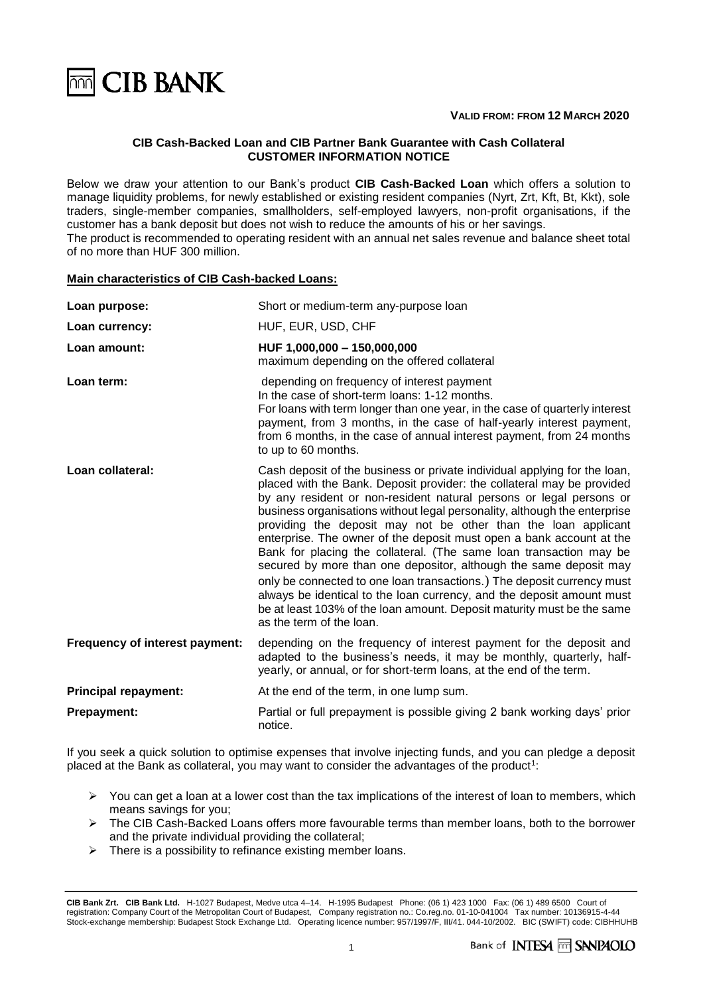

### **VALID FROM: FROM 12 MARCH 2020**

# **CIB Cash-Backed Loan and CIB Partner Bank Guarantee with Cash Collateral CUSTOMER INFORMATION NOTICE**

Below we draw your attention to our Bank's product **CIB Cash-Backed Loan** which offers a solution to manage liquidity problems, for newly established or existing resident companies (Nyrt, Zrt, Kft, Bt, Kkt), sole traders, single-member companies, smallholders, self-employed lawyers, non-profit organisations, if the customer has a bank deposit but does not wish to reduce the amounts of his or her savings. The product is recommended to operating resident with an annual net sales revenue and balance sheet total of no more than HUF 300 million.

### **Main characteristics of CIB Cash-backed Loans:**

| Loan purpose:                  | Short or medium-term any-purpose loan                                                                                                                                                                                                                                                                                                                                                                                                                                                                                                                                                                                                                                                                                                                                                                                                                 |  |
|--------------------------------|-------------------------------------------------------------------------------------------------------------------------------------------------------------------------------------------------------------------------------------------------------------------------------------------------------------------------------------------------------------------------------------------------------------------------------------------------------------------------------------------------------------------------------------------------------------------------------------------------------------------------------------------------------------------------------------------------------------------------------------------------------------------------------------------------------------------------------------------------------|--|
| Loan currency:                 | HUF, EUR, USD, CHF                                                                                                                                                                                                                                                                                                                                                                                                                                                                                                                                                                                                                                                                                                                                                                                                                                    |  |
| Loan amount:                   | HUF 1,000,000 - 150,000,000<br>maximum depending on the offered collateral                                                                                                                                                                                                                                                                                                                                                                                                                                                                                                                                                                                                                                                                                                                                                                            |  |
| Loan term:                     | depending on frequency of interest payment<br>In the case of short-term loans: 1-12 months.<br>For loans with term longer than one year, in the case of quarterly interest<br>payment, from 3 months, in the case of half-yearly interest payment,<br>from 6 months, in the case of annual interest payment, from 24 months<br>to up to 60 months.                                                                                                                                                                                                                                                                                                                                                                                                                                                                                                    |  |
| Loan collateral:               | Cash deposit of the business or private individual applying for the loan,<br>placed with the Bank. Deposit provider: the collateral may be provided<br>by any resident or non-resident natural persons or legal persons or<br>business organisations without legal personality, although the enterprise<br>providing the deposit may not be other than the loan applicant<br>enterprise. The owner of the deposit must open a bank account at the<br>Bank for placing the collateral. (The same loan transaction may be<br>secured by more than one depositor, although the same deposit may<br>only be connected to one loan transactions.) The deposit currency must<br>always be identical to the loan currency, and the deposit amount must<br>be at least 103% of the loan amount. Deposit maturity must be the same<br>as the term of the loan. |  |
| Frequency of interest payment: | depending on the frequency of interest payment for the deposit and<br>adapted to the business's needs, it may be monthly, quarterly, half-<br>yearly, or annual, or for short-term loans, at the end of the term.                                                                                                                                                                                                                                                                                                                                                                                                                                                                                                                                                                                                                                     |  |
| <b>Principal repayment:</b>    | At the end of the term, in one lump sum.                                                                                                                                                                                                                                                                                                                                                                                                                                                                                                                                                                                                                                                                                                                                                                                                              |  |
| <b>Prepayment:</b>             | Partial or full prepayment is possible giving 2 bank working days' prior<br>notice.                                                                                                                                                                                                                                                                                                                                                                                                                                                                                                                                                                                                                                                                                                                                                                   |  |

If you seek a quick solution to optimise expenses that involve injecting funds, and you can pledge a deposit placed at the Bank as collateral, you may want to consider the advantages of the product<sup>1</sup>:

- $\triangleright$  You can get a loan at a lower cost than the tax implications of the interest of loan to members, which means savings for you;
- ➢ The CIB Cash-Backed Loans offers more favourable terms than member loans, both to the borrower and the private individual providing the collateral;
- $\triangleright$  There is a possibility to refinance existing member loans.

**CIB Bank Zrt. CIB Bank Ltd.** H-1027 Budapest, Medve utca 4–14. H-1995 Budapest Phone: (06 1) 423 1000 Fax: (06 1) 489 6500 Court of registration: Company Court of the Metropolitan Court of Budapest, Company registration no.: Co.reg.no. 01-10-041004 Tax number: 10136915-4-44 Stock-exchange membership: Budapest Stock Exchange Ltd. Operating licence number: 957/1997/F, III/41. 044-10/2002. BIC (SWIFT) code: CIBHHUHB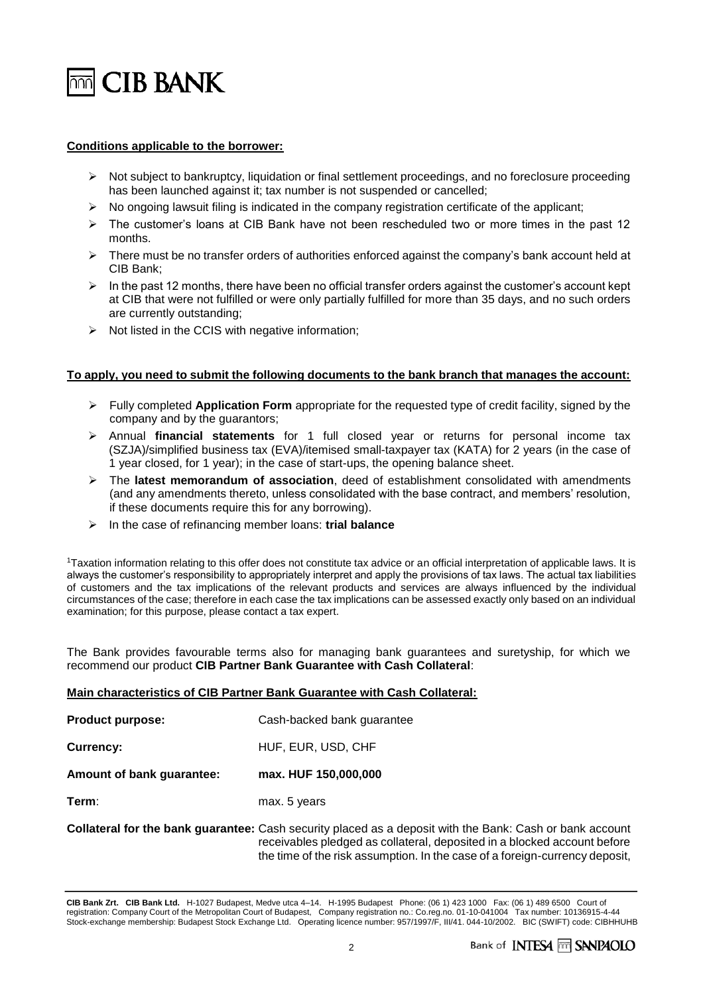

# **Conditions applicable to the borrower:**

- ➢ Not subject to bankruptcy, liquidation or final settlement proceedings, and no foreclosure proceeding has been launched against it; tax number is not suspended or cancelled;
- $\triangleright$  No ongoing lawsuit filing is indicated in the company registration certificate of the applicant;
- ➢ The customer's loans at CIB Bank have not been rescheduled two or more times in the past 12 months.
- $\triangleright$  There must be no transfer orders of authorities enforced against the company's bank account held at CIB Bank;
- $\triangleright$  In the past 12 months, there have been no official transfer orders against the customer's account kept at CIB that were not fulfilled or were only partially fulfilled for more than 35 days, and no such orders are currently outstanding;
- ➢ Not listed in the CCIS with negative information;

### **To apply, you need to submit the following documents to the bank branch that manages the account:**

- ➢ Fully completed **Application Form** appropriate for the requested type of credit facility, signed by the company and by the guarantors;
- ➢ Annual **financial statements** for 1 full closed year or returns for personal income tax (SZJA)/simplified business tax (EVA)/itemised small-taxpayer tax (KATA) for 2 years (in the case of 1 year closed, for 1 year); in the case of start-ups, the opening balance sheet.
- ➢ The **latest memorandum of association**, deed of establishment consolidated with amendments (and any amendments thereto, unless consolidated with the base contract, and members' resolution, if these documents require this for any borrowing).
- ➢ In the case of refinancing member loans: **trial balance**

<sup>1</sup>Taxation information relating to this offer does not constitute tax advice or an official interpretation of applicable laws. It is always the customer's responsibility to appropriately interpret and apply the provisions of tax laws. The actual tax liabilities of customers and the tax implications of the relevant products and services are always influenced by the individual circumstances of the case; therefore in each case the tax implications can be assessed exactly only based on an individual examination; for this purpose, please contact a tax expert.

The Bank provides favourable terms also for managing bank guarantees and suretyship, for which we recommend our product **CIB Partner Bank Guarantee with Cash Collateral**:

### **Main characteristics of CIB Partner Bank Guarantee with Cash Collateral:**

| <b>Product purpose:</b>                                           | Cash-backed bank guarantee |
|-------------------------------------------------------------------|----------------------------|
| Currency:                                                         | HUF, EUR, USD, CHF         |
| Amount of bank guarantee:                                         | max. HUF 150,000,000       |
| Term:                                                             | max. 5 years               |
| Collateral for the bank guarantee: Cash security placed as a depe |                            |

osit with the Bank: Cash or bank account receivables pledged as collateral, deposited in a blocked account before the time of the risk assumption. In the case of a foreign-currency deposit,

**CIB Bank Zrt. CIB Bank Ltd.** H-1027 Budapest, Medve utca 4–14. H-1995 Budapest Phone: (06 1) 423 1000 Fax: (06 1) 489 6500 Court of registration: Company Court of the Metropolitan Court of Budapest, Company registration no.: Co.reg.no. 01-10-041004 Tax number: 10136915-4-44 Stock-exchange membership: Budapest Stock Exchange Ltd. Operating licence number: 957/1997/F, III/41. 044-10/2002. BIC (SWIFT) code: CIBHHUHB